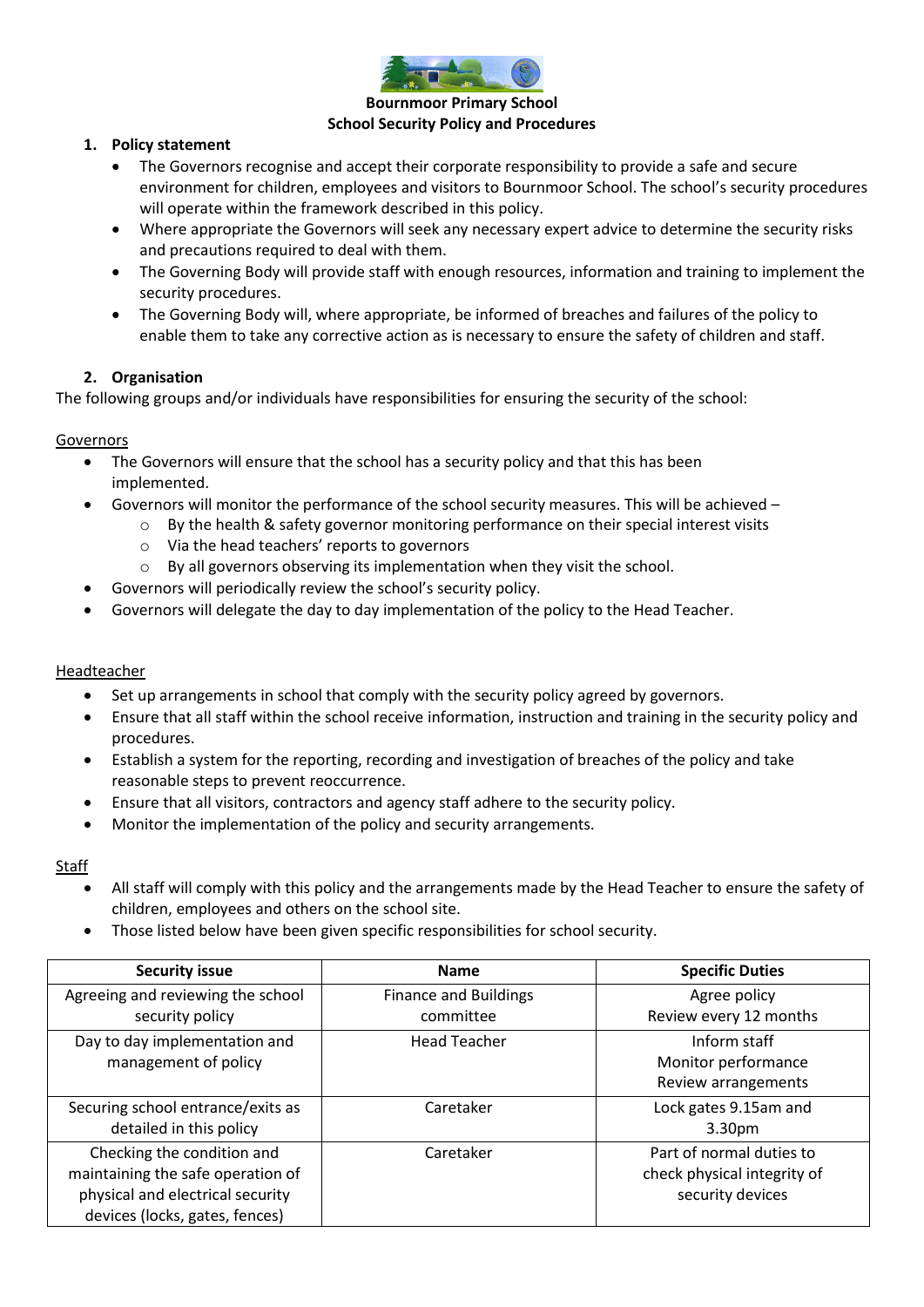

#### **Bournmoor Primary School School Security Policy and Procedures**

## **1. Policy statement**

- The Governors recognise and accept their corporate responsibility to provide a safe and secure environment for children, employees and visitors to Bournmoor School. The school's security procedures will operate within the framework described in this policy.
- Where appropriate the Governors will seek any necessary expert advice to determine the security risks and precautions required to deal with them.
- The Governing Body will provide staff with enough resources, information and training to implement the security procedures.
- The Governing Body will, where appropriate, be informed of breaches and failures of the policy to enable them to take any corrective action as is necessary to ensure the safety of children and staff.

# **2. Organisation**

The following groups and/or individuals have responsibilities for ensuring the security of the school:

## Governors

- The Governors will ensure that the school has a security policy and that this has been implemented.
- Governors will monitor the performance of the school security measures. This will be achieved
	- $\circ$  By the health & safety governor monitoring performance on their special interest visits
	- o Via the head teachers' reports to governors
	- o By all governors observing its implementation when they visit the school.
- Governors will periodically review the school's security policy.
- Governors will delegate the day to day implementation of the policy to the Head Teacher.

### Headteacher

- Set up arrangements in school that comply with the security policy agreed by governors.
- Ensure that all staff within the school receive information, instruction and training in the security policy and procedures.
- Establish a system for the reporting, recording and investigation of breaches of the policy and take reasonable steps to prevent reoccurrence.
- Ensure that all visitors, contractors and agency staff adhere to the security policy.
- Monitor the implementation of the policy and security arrangements.

### Staff

- All staff will comply with this policy and the arrangements made by the Head Teacher to ensure the safety of children, employees and others on the school site.
- Those listed below have been given specific responsibilities for school security.

| <b>Security issue</b>                                                                                                                 | <b>Name</b>                               | <b>Specific Duties</b>                                                      |
|---------------------------------------------------------------------------------------------------------------------------------------|-------------------------------------------|-----------------------------------------------------------------------------|
| Agreeing and reviewing the school<br>security policy                                                                                  | <b>Finance and Buildings</b><br>committee | Agree policy<br>Review every 12 months                                      |
| Day to day implementation and<br>management of policy                                                                                 | <b>Head Teacher</b>                       | Inform staff<br>Monitor performance<br>Review arrangements                  |
| Securing school entrance/exits as<br>detailed in this policy                                                                          | Caretaker                                 | Lock gates 9.15am and<br>3.30pm                                             |
| Checking the condition and<br>maintaining the safe operation of<br>physical and electrical security<br>devices (locks, gates, fences) | Caretaker                                 | Part of normal duties to<br>check physical integrity of<br>security devices |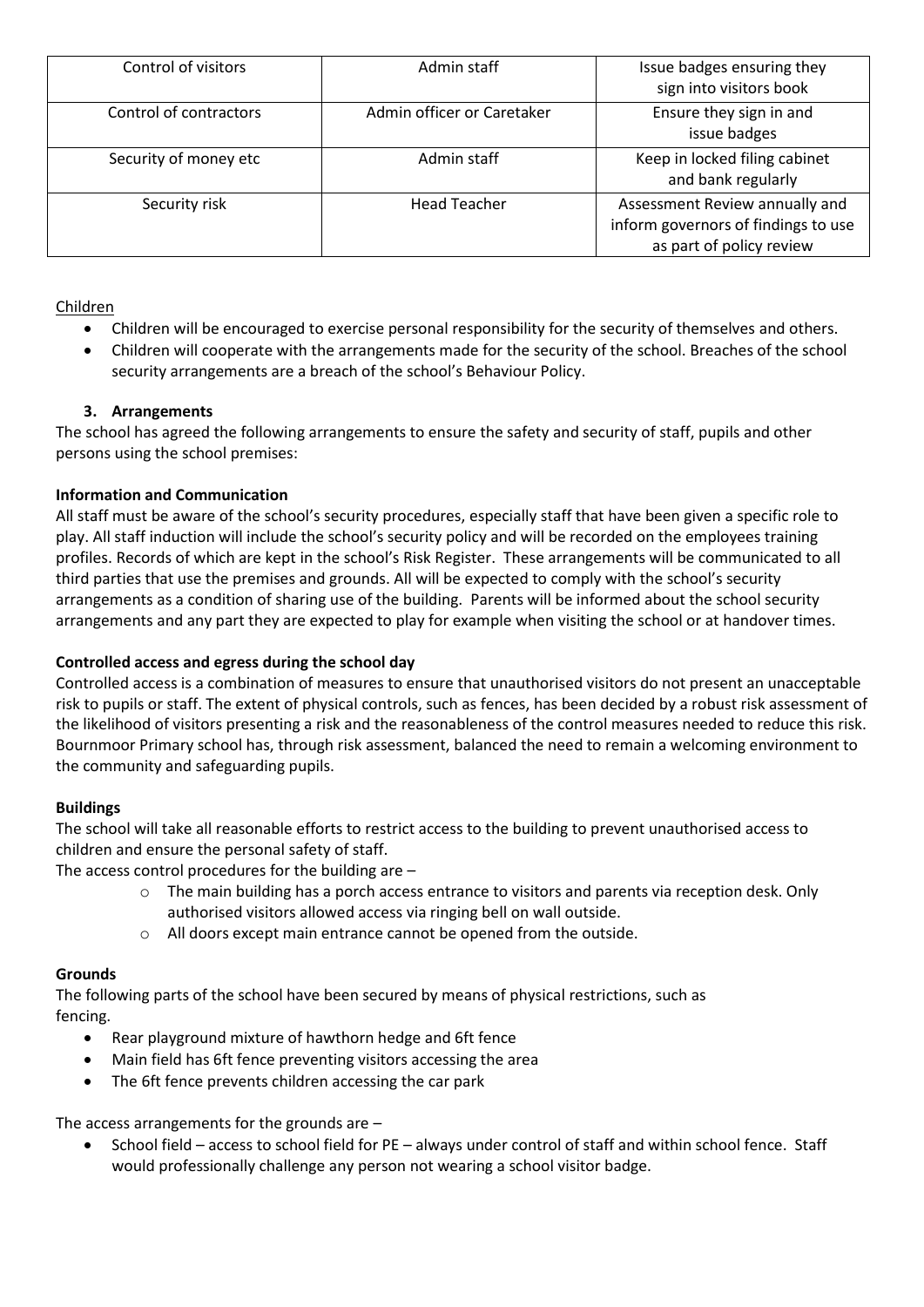| Control of visitors    | Admin staff                | Issue badges ensuring they<br>sign into visitors book                                             |
|------------------------|----------------------------|---------------------------------------------------------------------------------------------------|
| Control of contractors | Admin officer or Caretaker | Ensure they sign in and<br>issue badges                                                           |
| Security of money etc  | Admin staff                | Keep in locked filing cabinet<br>and bank regularly                                               |
| Security risk          | <b>Head Teacher</b>        | Assessment Review annually and<br>inform governors of findings to use<br>as part of policy review |

# Children

- Children will be encouraged to exercise personal responsibility for the security of themselves and others.
- Children will cooperate with the arrangements made for the security of the school. Breaches of the school security arrangements are a breach of the school's Behaviour Policy.

# **3. Arrangements**

The school has agreed the following arrangements to ensure the safety and security of staff, pupils and other persons using the school premises:

# **Information and Communication**

All staff must be aware of the school's security procedures, especially staff that have been given a specific role to play. All staff induction will include the school's security policy and will be recorded on the employees training profiles. Records of which are kept in the school's Risk Register. These arrangements will be communicated to all third parties that use the premises and grounds. All will be expected to comply with the school's security arrangements as a condition of sharing use of the building. Parents will be informed about the school security arrangements and any part they are expected to play for example when visiting the school or at handover times.

# **Controlled access and egress during the school day**

Controlled access is a combination of measures to ensure that unauthorised visitors do not present an unacceptable risk to pupils or staff. The extent of physical controls, such as fences, has been decided by a robust risk assessment of the likelihood of visitors presenting a risk and the reasonableness of the control measures needed to reduce this risk. Bournmoor Primary school has, through risk assessment, balanced the need to remain a welcoming environment to the community and safeguarding pupils.

# **Buildings**

The school will take all reasonable efforts to restrict access to the building to prevent unauthorised access to children and ensure the personal safety of staff.

The access control procedures for the building are –

- o The main building has a porch access entrance to visitors and parents via reception desk. Only authorised visitors allowed access via ringing bell on wall outside.
- o All doors except main entrance cannot be opened from the outside.

# **Grounds**

The following parts of the school have been secured by means of physical restrictions, such as fencing.

- Rear playground mixture of hawthorn hedge and 6ft fence
- Main field has 6ft fence preventing visitors accessing the area
- The 6ft fence prevents children accessing the car park

The access arrangements for the grounds are –

• School field – access to school field for PE – always under control of staff and within school fence. Staff would professionally challenge any person not wearing a school visitor badge.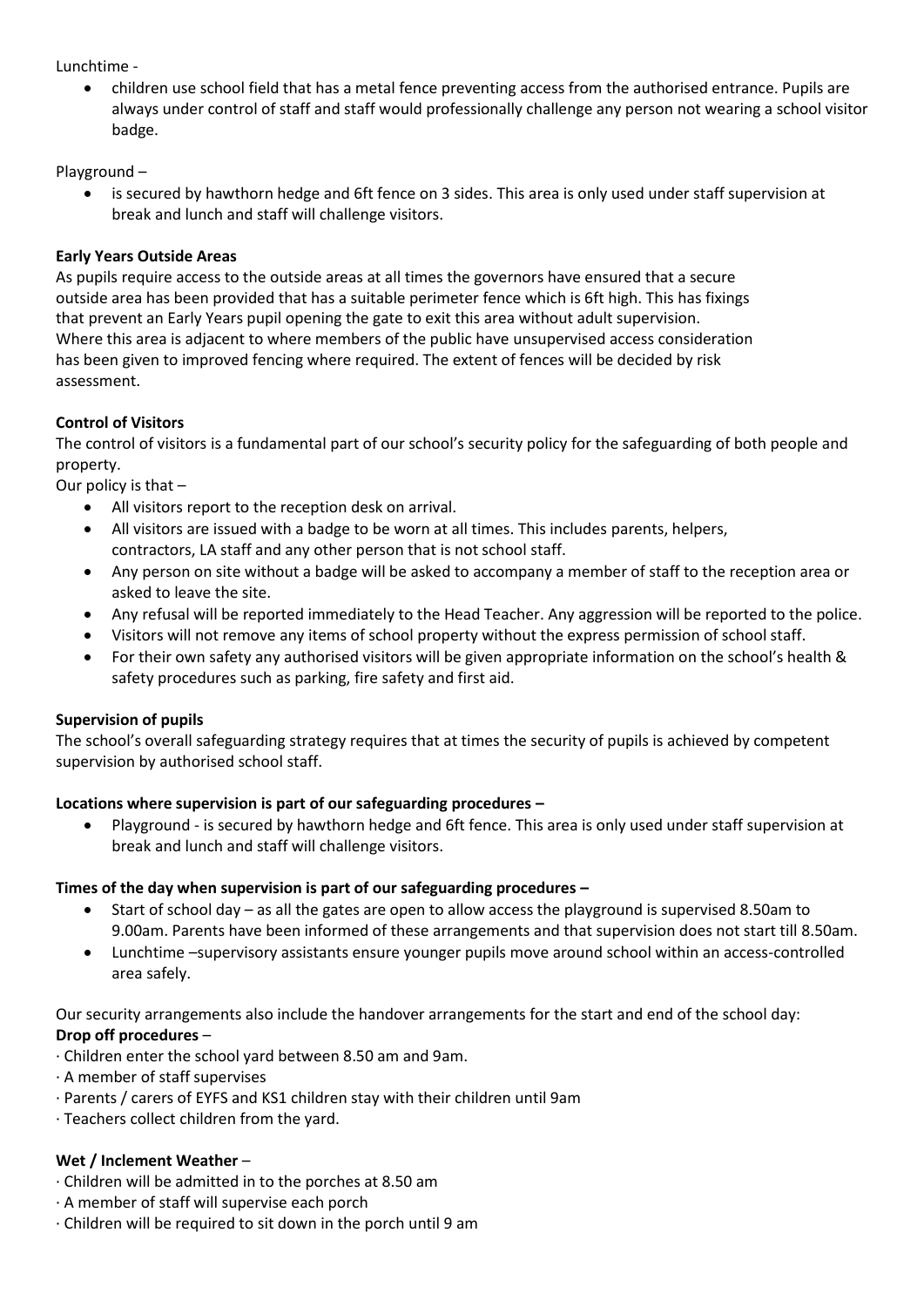Lunchtime -

• children use school field that has a metal fence preventing access from the authorised entrance. Pupils are always under control of staff and staff would professionally challenge any person not wearing a school visitor badge.

Playground –

is secured by hawthorn hedge and 6ft fence on 3 sides. This area is only used under staff supervision at break and lunch and staff will challenge visitors.

# **Early Years Outside Areas**

As pupils require access to the outside areas at all times the governors have ensured that a secure outside area has been provided that has a suitable perimeter fence which is 6ft high. This has fixings that prevent an Early Years pupil opening the gate to exit this area without adult supervision. Where this area is adjacent to where members of the public have unsupervised access consideration has been given to improved fencing where required. The extent of fences will be decided by risk assessment.

# **Control of Visitors**

The control of visitors is a fundamental part of our school's security policy for the safeguarding of both people and property.

Our policy is that  $-$ 

- All visitors report to the reception desk on arrival.
- All visitors are issued with a badge to be worn at all times. This includes parents, helpers, contractors, LA staff and any other person that is not school staff.
- Any person on site without a badge will be asked to accompany a member of staff to the reception area or asked to leave the site.
- Any refusal will be reported immediately to the Head Teacher. Any aggression will be reported to the police.
- Visitors will not remove any items of school property without the express permission of school staff.
- For their own safety any authorised visitors will be given appropriate information on the school's health & safety procedures such as parking, fire safety and first aid.

# **Supervision of pupils**

The school's overall safeguarding strategy requires that at times the security of pupils is achieved by competent supervision by authorised school staff.

# **Locations where supervision is part of our safeguarding procedures –**

• Playground - is secured by hawthorn hedge and 6ft fence. This area is only used under staff supervision at break and lunch and staff will challenge visitors.

# **Times of the day when supervision is part of our safeguarding procedures –**

- Start of school day as all the gates are open to allow access the playground is supervised 8.50am to 9.00am. Parents have been informed of these arrangements and that supervision does not start till 8.50am.
- Lunchtime –supervisory assistants ensure younger pupils move around school within an access-controlled area safely.

Our security arrangements also include the handover arrangements for the start and end of the school day: **Drop off procedures** –

- · Children enter the school yard between 8.50 am and 9am.
- · A member of staff supervises
- · Parents / carers of EYFS and KS1 children stay with their children until 9am
- · Teachers collect children from the yard.

# **Wet / Inclement Weather** –

- · Children will be admitted in to the porches at 8.50 am
- · A member of staff will supervise each porch
- · Children will be required to sit down in the porch until 9 am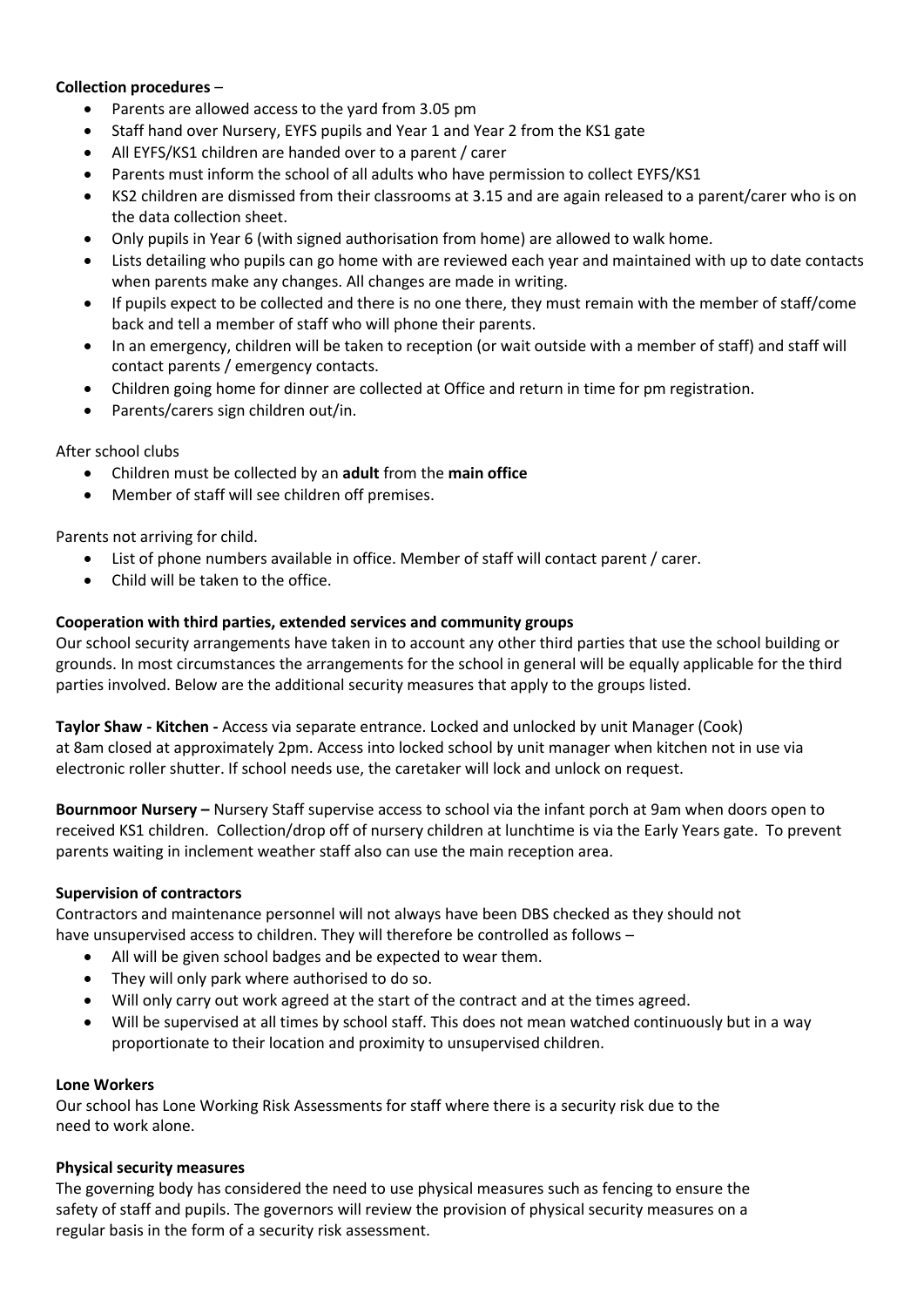## **Collection procedures** –

- Parents are allowed access to the yard from 3.05 pm
- Staff hand over Nursery, EYFS pupils and Year 1 and Year 2 from the KS1 gate
- All EYFS/KS1 children are handed over to a parent / carer
- Parents must inform the school of all adults who have permission to collect EYFS/KS1
- KS2 children are dismissed from their classrooms at 3.15 and are again released to a parent/carer who is on the data collection sheet.
- Only pupils in Year 6 (with signed authorisation from home) are allowed to walk home.
- Lists detailing who pupils can go home with are reviewed each year and maintained with up to date contacts when parents make any changes. All changes are made in writing.
- If pupils expect to be collected and there is no one there, they must remain with the member of staff/come back and tell a member of staff who will phone their parents.
- In an emergency, children will be taken to reception (or wait outside with a member of staff) and staff will contact parents / emergency contacts.
- Children going home for dinner are collected at Office and return in time for pm registration.
- Parents/carers sign children out/in.

## After school clubs

- Children must be collected by an **adult** from the **main office**
- Member of staff will see children off premises.

Parents not arriving for child.

- List of phone numbers available in office. Member of staff will contact parent / carer.
- Child will be taken to the office.

## **Cooperation with third parties, extended services and community groups**

Our school security arrangements have taken in to account any other third parties that use the school building or grounds. In most circumstances the arrangements for the school in general will be equally applicable for the third parties involved. Below are the additional security measures that apply to the groups listed.

**Taylor Shaw - Kitchen -** Access via separate entrance. Locked and unlocked by unit Manager (Cook) at 8am closed at approximately 2pm. Access into locked school by unit manager when kitchen not in use via electronic roller shutter. If school needs use, the caretaker will lock and unlock on request.

**Bournmoor Nursery –** Nursery Staff supervise access to school via the infant porch at 9am when doors open to received KS1 children. Collection/drop off of nursery children at lunchtime is via the Early Years gate. To prevent parents waiting in inclement weather staff also can use the main reception area.

### **Supervision of contractors**

Contractors and maintenance personnel will not always have been DBS checked as they should not have unsupervised access to children. They will therefore be controlled as follows –

- All will be given school badges and be expected to wear them.
- They will only park where authorised to do so.
- Will only carry out work agreed at the start of the contract and at the times agreed.
- Will be supervised at all times by school staff. This does not mean watched continuously but in a way proportionate to their location and proximity to unsupervised children.

### **Lone Workers**

Our school has Lone Working Risk Assessments for staff where there is a security risk due to the need to work alone.

### **Physical security measures**

The governing body has considered the need to use physical measures such as fencing to ensure the safety of staff and pupils. The governors will review the provision of physical security measures on a regular basis in the form of a security risk assessment.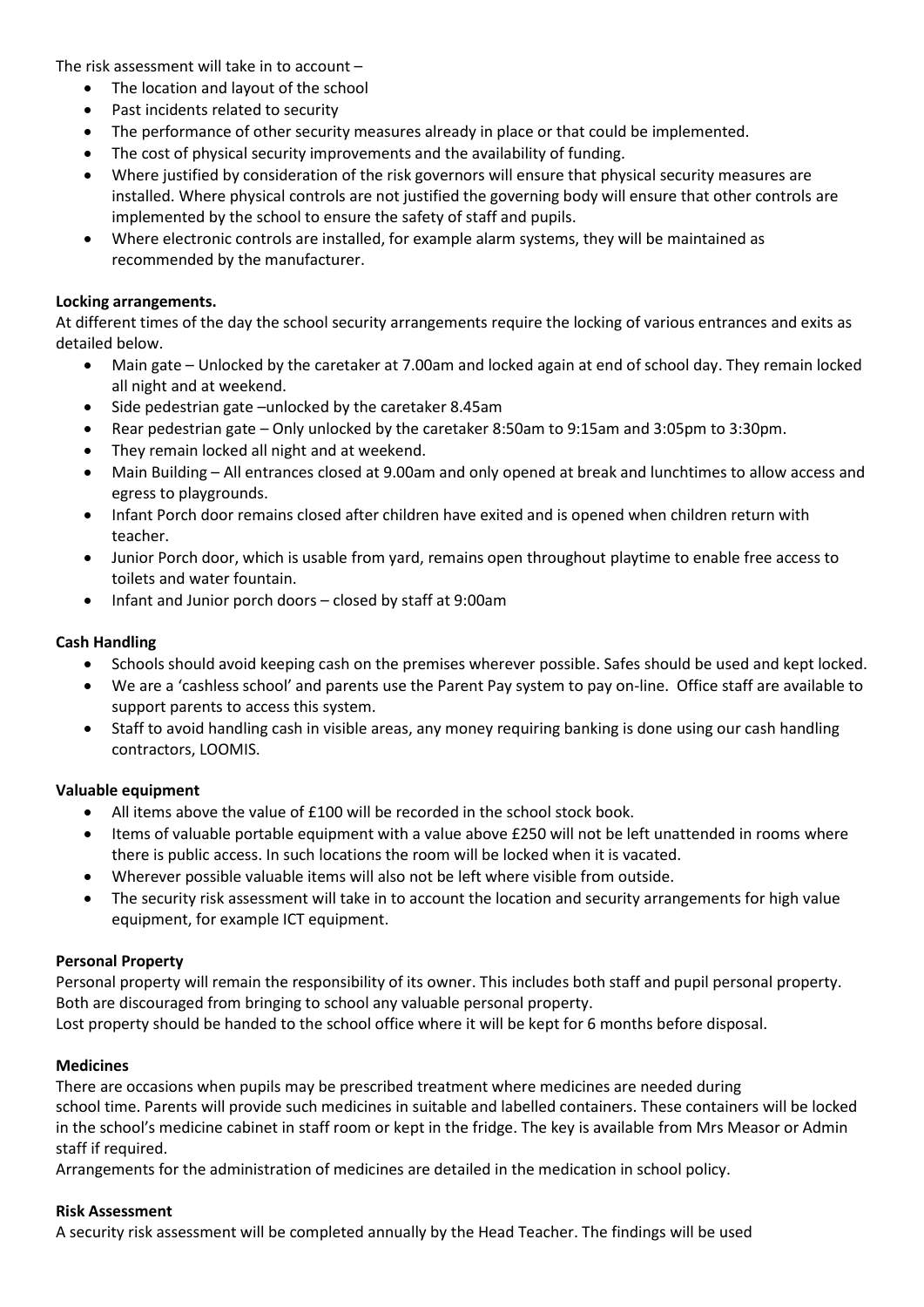The risk assessment will take in to account –

- The location and layout of the school
- Past incidents related to security
- The performance of other security measures already in place or that could be implemented.
- The cost of physical security improvements and the availability of funding.
- Where justified by consideration of the risk governors will ensure that physical security measures are installed. Where physical controls are not justified the governing body will ensure that other controls are implemented by the school to ensure the safety of staff and pupils.
- Where electronic controls are installed, for example alarm systems, they will be maintained as recommended by the manufacturer.

## **Locking arrangements.**

At different times of the day the school security arrangements require the locking of various entrances and exits as detailed below.

- Main gate Unlocked by the caretaker at 7.00am and locked again at end of school day. They remain locked all night and at weekend.
- Side pedestrian gate –unlocked by the caretaker 8.45am
- Rear pedestrian gate Only unlocked by the caretaker 8:50am to 9:15am and 3:05pm to 3:30pm.
- They remain locked all night and at weekend.
- Main Building All entrances closed at 9.00am and only opened at break and lunchtimes to allow access and egress to playgrounds.
- Infant Porch door remains closed after children have exited and is opened when children return with teacher.
- Junior Porch door, which is usable from yard, remains open throughout playtime to enable free access to toilets and water fountain.
- Infant and Junior porch doors closed by staff at 9:00am

## **Cash Handling**

- Schools should avoid keeping cash on the premises wherever possible. Safes should be used and kept locked.
- We are a 'cashless school' and parents use the Parent Pay system to pay on-line. Office staff are available to support parents to access this system.
- Staff to avoid handling cash in visible areas, any money requiring banking is done using our cash handling contractors, LOOMIS.

### **Valuable equipment**

- All items above the value of £100 will be recorded in the school stock book.
- Items of valuable portable equipment with a value above £250 will not be left unattended in rooms where there is public access. In such locations the room will be locked when it is vacated.
- Wherever possible valuable items will also not be left where visible from outside.
- The security risk assessment will take in to account the location and security arrangements for high value equipment, for example ICT equipment.

# **Personal Property**

Personal property will remain the responsibility of its owner. This includes both staff and pupil personal property. Both are discouraged from bringing to school any valuable personal property. Lost property should be handed to the school office where it will be kept for 6 months before disposal.

# **Medicines**

There are occasions when pupils may be prescribed treatment where medicines are needed during school time. Parents will provide such medicines in suitable and labelled containers. These containers will be locked in the school's medicine cabinet in staff room or kept in the fridge. The key is available from Mrs Measor or Admin staff if required.

Arrangements for the administration of medicines are detailed in the medication in school policy.

### **Risk Assessment**

A security risk assessment will be completed annually by the Head Teacher. The findings will be used